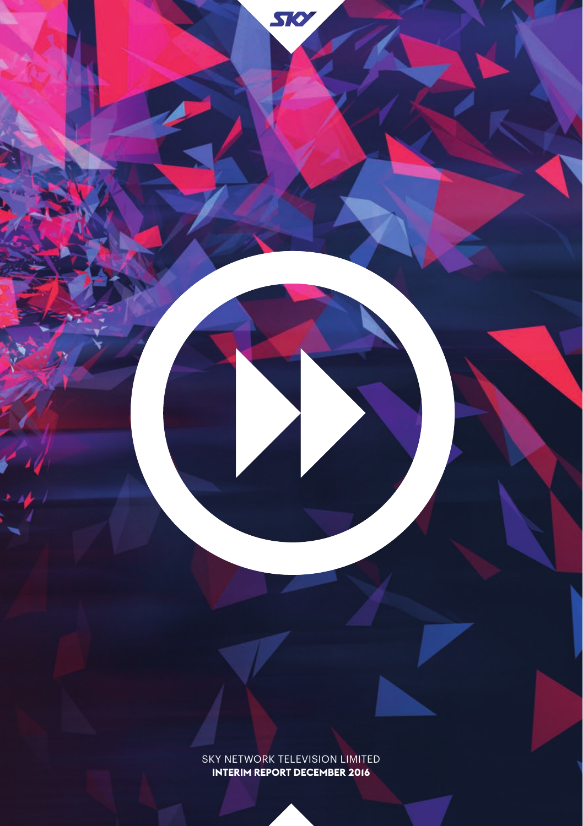SKY NETWORK TELEVISION LIMITED **INTERIM REPORT DECEMBER 2016**

SIO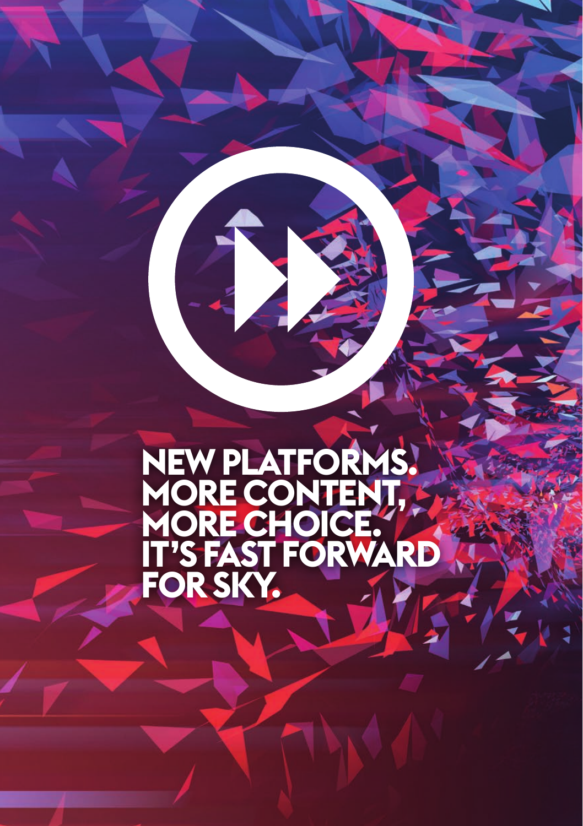# **NEW PLATFORMS. MORE CONTENT, MORE CHOICE. IT'S FAST FORWARD FOR SKY.**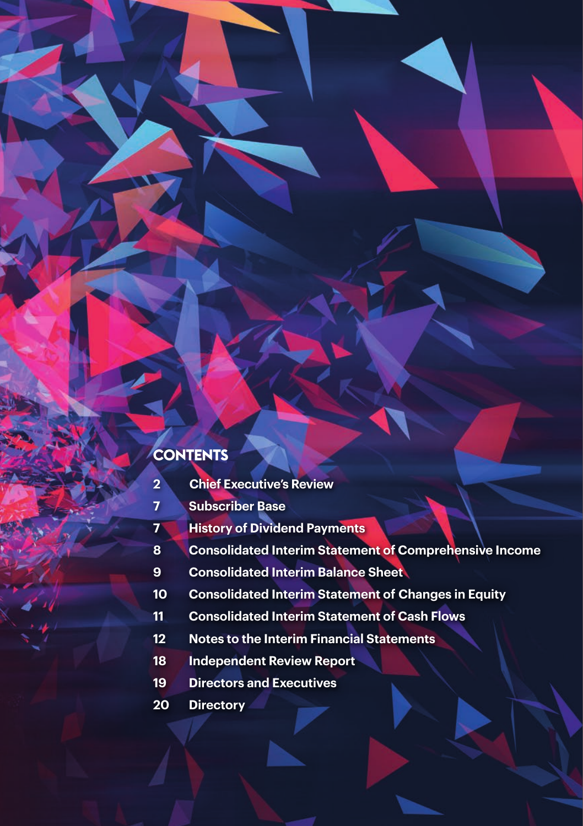# **CONTENTS**

- **Chief Executive's Review**
- **Subscriber Base**
- **History of Dividend Payments**
- **Consolidated Interim Statement of Comprehensive Income**
- **Consolidated Interim Balance Sheet**
- **Consolidated Interim Statement of Changes in Equity**
- **Consolidated Interim Statement of Cash Flows**
- **Notes to the Interim Financial Statements**
- **Independent Review Report**
- **Directors and Executives**
- **Directory**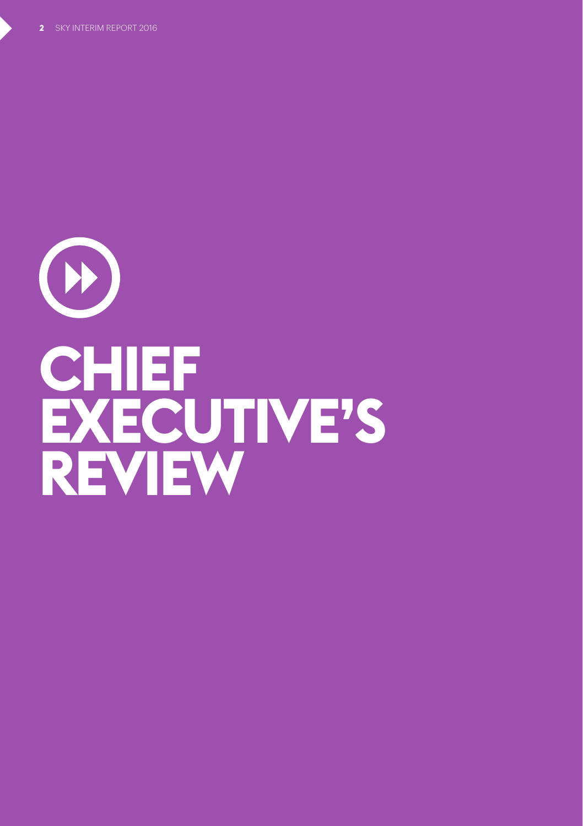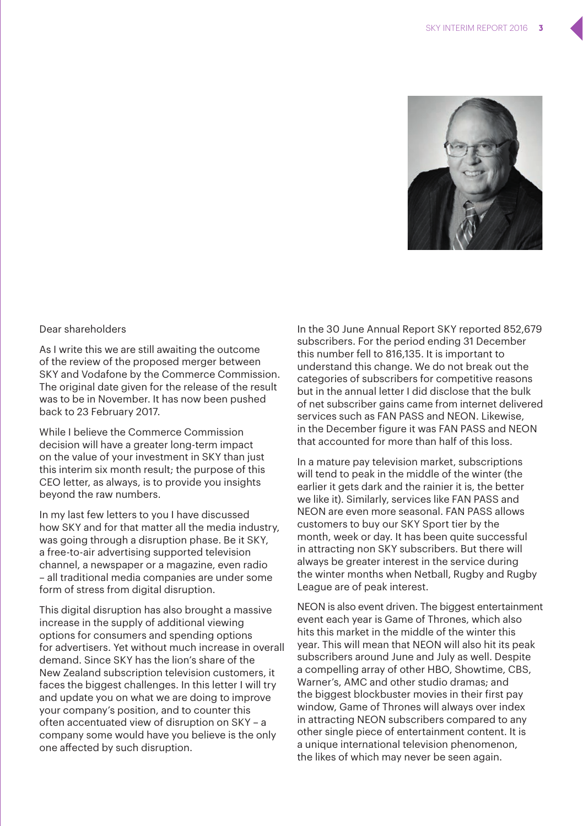

### Dear shareholders

As I write this we are still awaiting the outcome of the review of the proposed merger between SKY and Vodafone by the Commerce Commission. The original date given for the release of the result was to be in November. It has now been pushed back to 23 February 2017.

While I believe the Commerce Commission decision will have a greater long-term impact on the value of your investment in SKY than just this interim six month result; the purpose of this CEO letter, as always, is to provide you insights beyond the raw numbers.

In my last few letters to you I have discussed how SKY and for that matter all the media industry, was going through a disruption phase. Be it SKY, a free-to-air advertising supported television channel, a newspaper or a magazine, even radio – all traditional media companies are under some form of stress from digital disruption.

This digital disruption has also brought a massive increase in the supply of additional viewing options for consumers and spending options for advertisers. Yet without much increase in overall demand. Since SKY has the lion's share of the New Zealand subscription television customers, it faces the biggest challenges. In this letter I will try and update you on what we are doing to improve your company's position, and to counter this often accentuated view of disruption on SKY – a company some would have you believe is the only one affected by such disruption.

In the 30 June Annual Report SKY reported 852,679 subscribers. For the period ending 31 December this number fell to 816,135. It is important to understand this change. We do not break out the categories of subscribers for competitive reasons but in the annual letter I did disclose that the bulk of net subscriber gains came from internet delivered services such as FAN PASS and NEON. Likewise, in the December figure it was FAN PASS and NEON that accounted for more than half of this loss.

In a mature pay television market, subscriptions will tend to peak in the middle of the winter (the earlier it gets dark and the rainier it is, the better we like it). Similarly, services like FAN PASS and NEON are even more seasonal. FAN PASS allows customers to buy our SKY Sport tier by the month, week or day. It has been quite successful in attracting non SKY subscribers. But there will always be greater interest in the service during the winter months when Netball, Rugby and Rugby League are of peak interest.

NEON is also event driven. The biggest entertainment event each year is Game of Thrones, which also hits this market in the middle of the winter this year. This will mean that NEON will also hit its peak subscribers around June and July as well. Despite a compelling array of other HBO, Showtime, CBS, Warner's, AMC and other studio dramas; and the biggest blockbuster movies in their first pay window, Game of Thrones will always over index in attracting NEON subscribers compared to any other single piece of entertainment content. It is a unique international television phenomenon, the likes of which may never be seen again.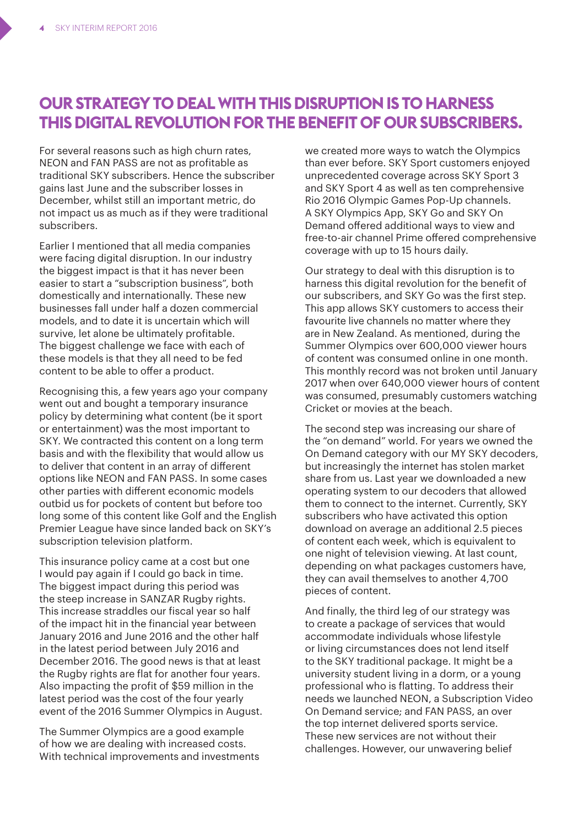# **OUR STRATEGY TO DEAL WITH THIS DISRUPTION IS TO HARNESS THIS DIGITAL REVOLUTION FOR THE BENEFIT OF OUR SUBSCRIBERS.**

For several reasons such as high churn rates, NEON and FAN PASS are not as profitable as traditional SKY subscribers. Hence the subscriber gains last June and the subscriber losses in December, whilst still an important metric, do not impact us as much as if they were traditional subscribers.

Earlier I mentioned that all media companies were facing digital disruption. In our industry the biggest impact is that it has never been easier to start a "subscription business", both domestically and internationally. These new businesses fall under half a dozen commercial models, and to date it is uncertain which will survive, let alone be ultimately profitable. The biggest challenge we face with each of these models is that they all need to be fed content to be able to offer a product.

Recognising this, a few years ago your company went out and bought a temporary insurance policy by determining what content (be it sport or entertainment) was the most important to SKY. We contracted this content on a long term basis and with the flexibility that would allow us to deliver that content in an array of different options like NEON and FAN PASS. In some cases other parties with different economic models outbid us for pockets of content but before too long some of this content like Golf and the English Premier League have since landed back on SKY's subscription television platform.

This insurance policy came at a cost but one I would pay again if I could go back in time. The biggest impact during this period was the steep increase in SANZAR Rugby rights. This increase straddles our fiscal year so half of the impact hit in the financial year between January 2016 and June 2016 and the other half in the latest period between July 2016 and December 2016. The good news is that at least the Rugby rights are flat for another four years. Also impacting the profit of \$59 million in the latest period was the cost of the four yearly event of the 2016 Summer Olympics in August.

The Summer Olympics are a good example of how we are dealing with increased costs. With technical improvements and investments we created more ways to watch the Olympics than ever before. SKY Sport customers enjoyed unprecedented coverage across SKY Sport 3 and SKY Sport 4 as well as ten comprehensive Rio 2016 Olympic Games Pop-Up channels. A SKY Olympics App, SKY Go and SKY On Demand offered additional ways to view and free-to-air channel Prime offered comprehensive coverage with up to 15 hours daily.

Our strategy to deal with this disruption is to harness this digital revolution for the benefit of our subscribers, and SKY Go was the first step. This app allows SKY customers to access their favourite live channels no matter where they are in New Zealand. As mentioned, during the Summer Olympics over 600,000 viewer hours of content was consumed online in one month. This monthly record was not broken until January 2017 when over 640,000 viewer hours of content was consumed, presumably customers watching Cricket or movies at the beach.

The second step was increasing our share of the "on demand" world. For years we owned the On Demand category with our MY SKY decoders, but increasingly the internet has stolen market share from us. Last year we downloaded a new operating system to our decoders that allowed them to connect to the internet. Currently, SKY subscribers who have activated this option download on average an additional 2.5 pieces of content each week, which is equivalent to one night of television viewing. At last count, depending on what packages customers have, they can avail themselves to another 4,700 pieces of content.

And finally, the third leg of our strategy was to create a package of services that would accommodate individuals whose lifestyle or living circumstances does not lend itself to the SKY traditional package. It might be a university student living in a dorm, or a young professional who is flatting. To address their needs we launched NEON, a Subscription Video On Demand service; and FAN PASS, an over the top internet delivered sports service. These new services are not without their challenges. However, our unwavering belief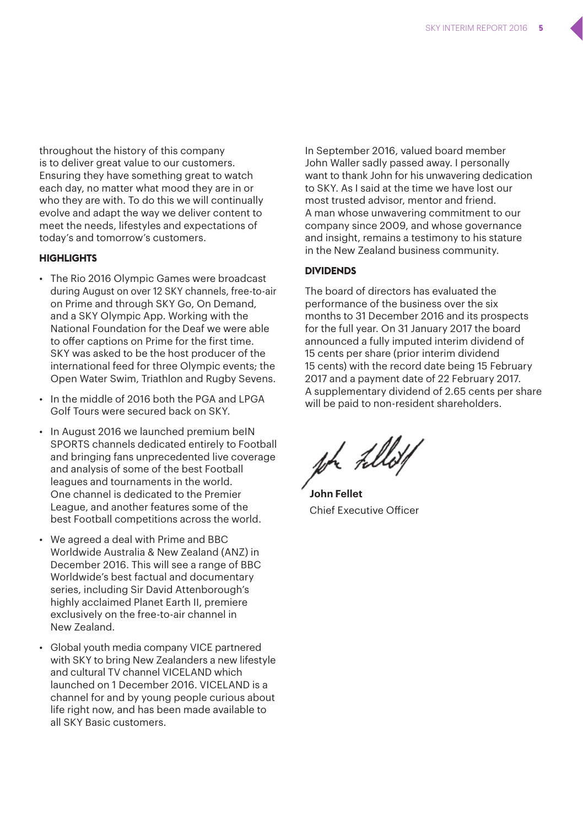throughout the history of this company is to deliver great value to our customers. Ensuring they have something great to watch each day, no matter what mood they are in or who they are with. To do this we will continually evolve and adapt the way we deliver content to meet the needs, lifestyles and expectations of today's and tomorrow's customers.

#### **Highlights**

- The Rio 2016 Olympic Games were broadcast during August on over 12 SKY channels, free-to-air on Prime and through SKY Go, On Demand, and a SKY Olympic App. Working with the National Foundation for the Deaf we were able to offer captions on Prime for the first time. SKY was asked to be the host producer of the international feed for three Olympic events; the Open Water Swim, Triathlon and Rugby Sevens.
- In the middle of 2016 both the PGA and LPGA Golf Tours were secured back on SKY.
- In August 2016 we launched premium beIN SPORTS channels dedicated entirely to Football and bringing fans unprecedented live coverage and analysis of some of the best Football leagues and tournaments in the world. One channel is dedicated to the Premier League, and another features some of the best Football competitions across the world.
- We agreed a deal with Prime and BBC Worldwide Australia & New Zealand (ANZ) in December 2016. This will see a range of BBC Worldwide's best factual and documentary series, including Sir David Attenborough's highly acclaimed Planet Earth II, premiere exclusively on the free-to-air channel in New Zealand.
- Global youth media company VICE partnered with SKY to bring New Zealanders a new lifestyle and cultural TV channel VICELAND which launched on 1 December 2016. VICELAND is a channel for and by young people curious about life right now, and has been made available to all SKY Basic customers.

In September 2016, valued board member John Waller sadly passed away. I personally want to thank John for his unwavering dedication to SKY. As I said at the time we have lost our most trusted advisor, mentor and friend. A man whose unwavering commitment to our company since 2009, and whose governance and insight, remains a testimony to his stature in the New Zealand business community.

#### **Dividends**

The board of directors has evaluated the performance of the business over the six months to 31 December 2016 and its prospects for the full year. On 31 January 2017 the board announced a fully imputed interim dividend of 15 cents per share (prior interim dividend 15 cents) with the record date being 15 February 2017 and a payment date of 22 February 2017. A supplementary dividend of 2.65 cents per share will be paid to non-resident shareholders.

**John Fellet**  Chief Executive Officer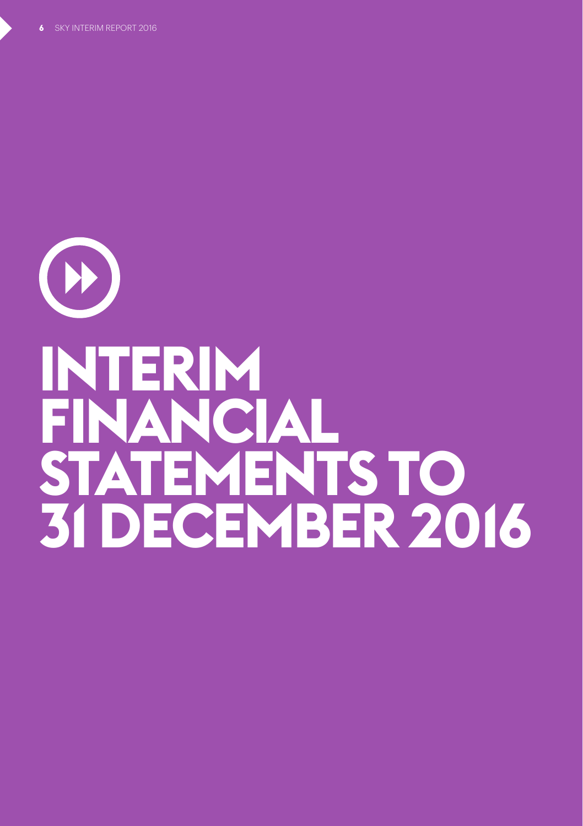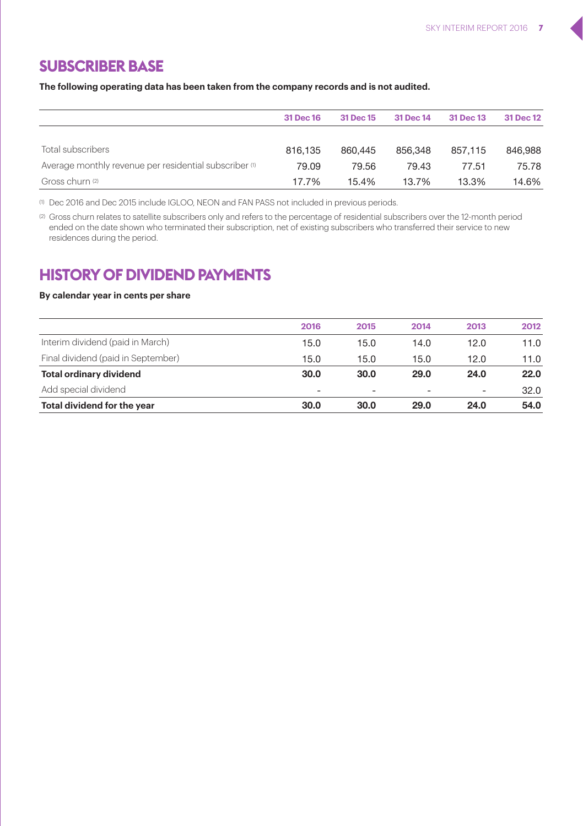### **SUBSCRIBER BASE**

**The following operating data has been taken from the company records and is not audited.** 

|                                                        | 31 Dec 16 | 31 Dec 15 | 31 Dec 14 | 31 Dec 13 | 31 Dec 12 |
|--------------------------------------------------------|-----------|-----------|-----------|-----------|-----------|
|                                                        |           |           |           |           |           |
| Total subscribers                                      | 816.135   | 860.445   | 856.348   | 857.115   | 846,988   |
| Average monthly revenue per residential subscriber (1) | 79.09     | 79.56     | 79.43     | 77.51     | 75.78     |
| Gross churn (2)                                        | 17.7%     | 15.4%     | 13.7%     | 13.3%     | 14.6%     |

(1) Dec 2016 and Dec 2015 include IGLOO, NEON and FAN PASS not included in previous periods.

(2) Gross churn relates to satellite subscribers only and refers to the percentage of residential subscribers over the 12-month period ended on the date shown who terminated their subscription, net of existing subscribers who transferred their service to new residences during the period.

### **HISTORY OF DIVIDEND PAYMENTS**

#### **By calendar year in cents per share**

| Total dividend for the year        | 30.0                     | 30.0                     | 29.0 | 24.0 | 54.0 |
|------------------------------------|--------------------------|--------------------------|------|------|------|
| Add special dividend               | $\overline{\phantom{a}}$ | $\overline{\phantom{a}}$ | ۰    | ۰    | 32.0 |
| <b>Total ordinary dividend</b>     | 30.0                     | 30.0                     | 29.0 | 24.0 | 22.0 |
| Final dividend (paid in September) | 15.0                     | 15.0                     | 15.0 | 12.0 | 11.0 |
| Interim dividend (paid in March)   | 15.0                     | 15.0                     | 14.0 | 12.0 | 11.0 |
|                                    | 2016                     | 2015                     | 2014 | 2013 | 2012 |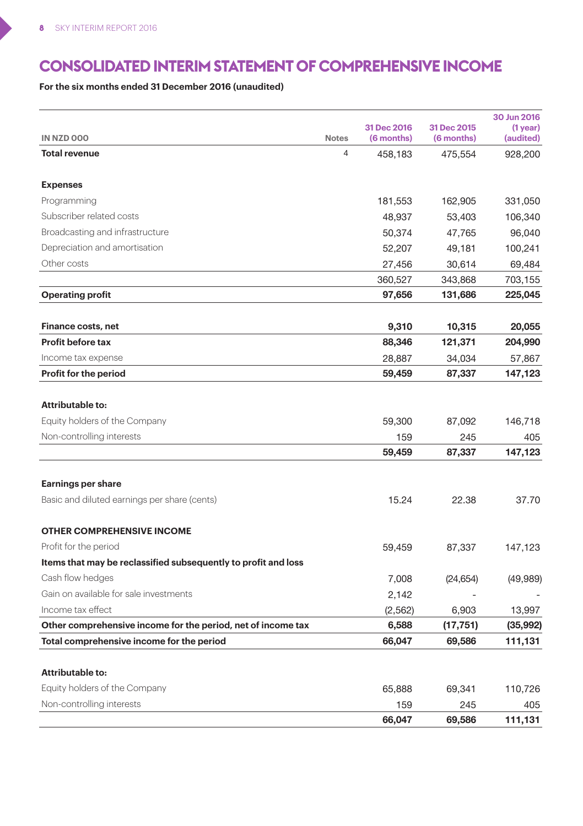D

# **CONSOLIDATED INTERIM STATEMENT OF COMPREHENSIVE INCOME**

**For the six months ended 31 December 2016 (unaudited)**

|                                                                |              | 31 Dec 2016 | 31 Dec 2015 | 30 Jun 2016<br>$(1$ year) |
|----------------------------------------------------------------|--------------|-------------|-------------|---------------------------|
| IN NZD 000                                                     | <b>Notes</b> | (6 months)  | (6 months)  | (audited)                 |
| <b>Total revenue</b>                                           | 4            | 458,183     | 475,554     | 928,200                   |
| <b>Expenses</b>                                                |              |             |             |                           |
| Programming                                                    |              | 181,553     | 162,905     | 331,050                   |
| Subscriber related costs                                       |              | 48,937      | 53,403      | 106,340                   |
| Broadcasting and infrastructure                                |              | 50,374      | 47,765      | 96,040                    |
| Depreciation and amortisation                                  |              | 52,207      | 49,181      | 100,241                   |
| Other costs                                                    |              | 27,456      | 30,614      | 69,484                    |
|                                                                |              | 360,527     | 343,868     | 703,155                   |
| <b>Operating profit</b>                                        |              | 97,656      | 131,686     | 225,045                   |
| Finance costs, net                                             |              | 9,310       | 10,315      | 20,055                    |
| <b>Profit before tax</b>                                       |              | 88,346      | 121,371     | 204,990                   |
| Income tax expense                                             |              | 28,887      | 34,034      | 57,867                    |
| Profit for the period                                          |              | 59,459      | 87,337      | 147,123                   |
| Attributable to:                                               |              |             |             |                           |
| Equity holders of the Company                                  |              | 59,300      | 87,092      | 146,718                   |
| Non-controlling interests                                      |              | 159         | 245         | 405                       |
|                                                                |              | 59,459      | 87,337      | 147,123                   |
| Earnings per share                                             |              |             |             |                           |
| Basic and diluted earnings per share (cents)                   |              | 15.24       | 22.38       | 37.70                     |
| <b>OTHER COMPREHENSIVE INCOME</b>                              |              |             |             |                           |
| Profit for the period                                          |              | 59,459      | 87,337      | 147,123                   |
| Items that may be reclassified subsequently to profit and loss |              |             |             |                           |
| Cash flow hedges                                               |              | 7,008       | (24, 654)   | (49,989)                  |
| Gain on available for sale investments                         |              | 2,142       |             |                           |
| Income tax effect                                              |              | (2,562)     | 6,903       | 13,997                    |
| Other comprehensive income for the period, net of income tax   |              | 6,588       | (17, 751)   | (35,992)                  |
| Total comprehensive income for the period                      |              | 66,047      | 69,586      | 111,131                   |
| Attributable to:                                               |              |             |             |                           |
| Equity holders of the Company                                  |              | 65,888      | 69,341      | 110,726                   |
| Non-controlling interests                                      |              | 159         | 245         | 405                       |
|                                                                |              | 66,047      | 69,586      | 111,131                   |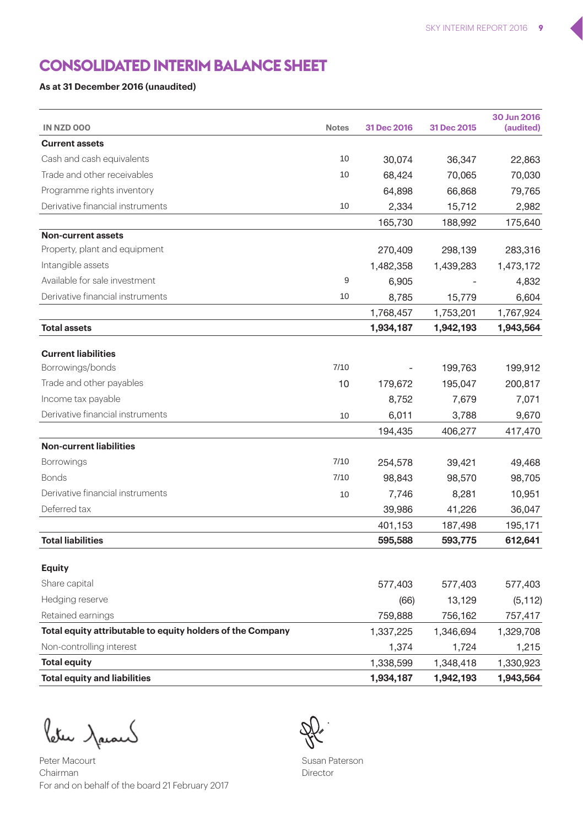# **CONSOLIDATED INTERIM BALANCE SHEET**

### **As at 31 December 2016 (unaudited)**

| IN NZD 000                                                 | <b>Notes</b> | 31 Dec 2016 | 31 Dec 2015 | 30 Jun 2016<br>(audited) |
|------------------------------------------------------------|--------------|-------------|-------------|--------------------------|
| <b>Current assets</b>                                      |              |             |             |                          |
| Cash and cash equivalents                                  | 10           | 30,074      | 36,347      | 22,863                   |
| Trade and other receivables                                | 10           | 68,424      | 70,065      | 70,030                   |
| Programme rights inventory                                 |              | 64,898      | 66,868      | 79,765                   |
| Derivative financial instruments                           | 10           | 2,334       | 15,712      | 2,982                    |
|                                                            |              | 165,730     | 188,992     | 175,640                  |
| Non-current assets                                         |              |             |             |                          |
| Property, plant and equipment                              |              | 270,409     | 298,139     | 283,316                  |
| Intangible assets                                          |              | 1,482,358   | 1,439,283   | 1,473,172                |
| Available for sale investment                              | 9            | 6,905       |             | 4,832                    |
| Derivative financial instruments                           | 10           | 8,785       | 15,779      | 6,604                    |
|                                                            |              | 1,768,457   | 1,753,201   | 1,767,924                |
| <b>Total assets</b>                                        |              | 1,934,187   | 1,942,193   | 1,943,564                |
|                                                            |              |             |             |                          |
| <b>Current liabilities</b>                                 |              |             |             |                          |
| Borrowings/bonds                                           | 7/10         |             | 199,763     | 199,912                  |
| Trade and other payables                                   | 10           | 179,672     | 195,047     | 200,817                  |
| Income tax payable                                         |              | 8,752       | 7,679       | 7,071                    |
| Derivative financial instruments                           | 10           | 6,011       | 3,788       | 9,670                    |
|                                                            |              | 194,435     | 406,277     | 417,470                  |
| <b>Non-current liabilities</b>                             |              |             |             |                          |
| Borrowings                                                 | 7/10         | 254,578     | 39,421      | 49,468                   |
| <b>Bonds</b>                                               | 7/10         | 98,843      | 98,570      | 98,705                   |
| Derivative financial instruments                           | 10           | 7,746       | 8,281       | 10,951                   |
| Deferred tax                                               |              | 39,986      | 41,226      | 36,047                   |
|                                                            |              | 401,153     | 187,498     | 195,171                  |
| <b>Total liabilities</b>                                   |              | 595,588     | 593,775     | 612,641                  |
|                                                            |              |             |             |                          |
| <b>Equity</b>                                              |              |             |             |                          |
| Share capital                                              |              | 577,403     | 577,403     | 577,403                  |
| Hedging reserve                                            |              | (66)        | 13,129      | (5, 112)                 |
| Retained earnings                                          |              | 759,888     | 756,162     | 757,417                  |
| Total equity attributable to equity holders of the Company |              | 1,337,225   | 1,346,694   | 1,329,708                |
| Non-controlling interest                                   |              | 1,374       | 1,724       | 1,215                    |
| <b>Total equity</b>                                        |              | 1,338,599   | 1,348,418   | 1,330,923                |
| <b>Total equity and liabilities</b>                        |              | 1,934,187   | 1,942,193   | 1,943,564                |

Peter Jacar

Peter Macourt Chairman For and on behalf of the board 21 February 2017



Susan Paterson Director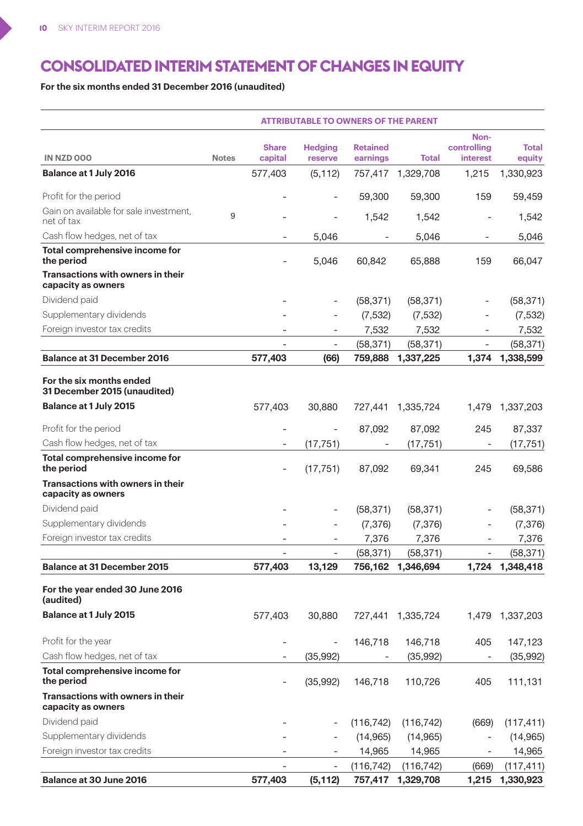# **CONSOLIDATED INTERIM STATEMENT OF CHANGES IN EQUITY**

**For the six months ended 31 December 2016 (unaudited)**

|                                                          |              |              | <b>ATTRIBUTABLE TO OWNERS OF THE PARENT</b> |                 |              |                          |              |
|----------------------------------------------------------|--------------|--------------|---------------------------------------------|-----------------|--------------|--------------------------|--------------|
|                                                          |              | <b>Share</b> | <b>Hedging</b>                              | <b>Retained</b> |              | Non-<br>controlling      | <b>Total</b> |
| IN NZD 000                                               | <b>Notes</b> | capital      | reserve                                     | earnings        | <b>Total</b> | interest                 | equity       |
| Balance at 1 July 2016                                   |              | 577,403      | (5, 112)                                    | 757,417         | 1,329,708    | 1,215                    | 1,330,923    |
| Profit for the period                                    |              |              |                                             | 59,300          | 59,300       | 159                      | 59,459       |
| Gain on available for sale investment,<br>net of tax     | 9            |              |                                             | 1,542           | 1,542        | ÷                        | 1,542        |
| Cash flow hedges, net of tax                             |              |              | 5,046                                       |                 | 5,046        |                          | 5,046        |
| Total comprehensive income for<br>the period             |              |              | 5,046                                       | 60,842          | 65,888       | 159                      | 66,047       |
| Transactions with owners in their<br>capacity as owners  |              |              |                                             |                 |              |                          |              |
| Dividend paid                                            |              |              |                                             | (58, 371)       | (58, 371)    |                          | (58, 371)    |
| Supplementary dividends                                  |              |              |                                             | (7, 532)        | (7, 532)     |                          | (7, 532)     |
| Foreign investor tax credits                             |              |              | ÷                                           | 7,532           | 7,532        | ٠                        | 7,532        |
|                                                          |              | L.           | ÷,                                          | (58, 371)       | (58, 371)    | ÷.                       | (58,371)     |
| Balance at 31 December 2016                              |              | 577,403      | (66)                                        | 759,888         | 1,337,225    | 1,374                    | 1,338,599    |
| For the six months ended<br>31 December 2015 (unaudited) |              |              |                                             |                 |              |                          |              |
| Balance at 1 July 2015                                   |              | 577,403      | 30,880                                      | 727,441         | 1,335,724    | 1,479                    | 1,337,203    |
| Profit for the period                                    |              |              |                                             | 87,092          | 87,092       | 245                      | 87,337       |
| Cash flow hedges, net of tax                             |              |              | (17, 751)                                   |                 | (17, 751)    | ÷,                       | (17,751)     |
| Total comprehensive income for<br>the period             |              |              | (17, 751)                                   | 87.092          | 69,341       | 245                      | 69,586       |
| Transactions with owners in their<br>capacity as owners  |              |              |                                             |                 |              |                          |              |
| Dividend paid                                            |              |              |                                             | (58, 371)       | (58, 371)    | L,                       | (58, 371)    |
| Supplementary dividends                                  |              |              |                                             | (7, 376)        | (7, 376)     |                          | (7, 376)     |
| Foreign investor tax credits                             |              | L,           | ÷                                           | 7,376           | 7,376        | $\overline{\phantom{a}}$ | 7,376        |
|                                                          |              |              |                                             | (58, 371)       | (58, 371)    |                          | (58, 371)    |
| Balance at 31 December 2015                              |              | 577,403      | 13,129                                      | 756,162         | 1,346,694    | 1,724                    | 1,348,418    |
| For the year ended 30 June 2016<br>(audited)             |              |              |                                             |                 |              |                          |              |
| Balance at 1 July 2015                                   |              | 577,403      | 30,880                                      | 727,441         | 1,335,724    | 1,479                    | 1,337,203    |
| Profit for the year                                      |              |              |                                             | 146,718         | 146,718      | 405                      | 147,123      |
| Cash flow hedges, net of tax                             |              |              | (35,992)                                    |                 | (35,992)     | ÷,                       | (35,992)     |
| Total comprehensive income for<br>the period             |              |              | (35, 992)                                   | 146,718         | 110,726      | 405                      | 111,131      |
| Transactions with owners in their<br>capacity as owners  |              |              |                                             |                 |              |                          |              |
| Dividend paid                                            |              |              |                                             | (116, 742)      | (116, 742)   | (669)                    | (117, 411)   |
| Supplementary dividends                                  |              |              |                                             | (14, 965)       | (14, 965)    | ÷,                       | (14, 965)    |
| Foreign investor tax credits                             |              |              |                                             | 14,965          | 14,965       | $\sim$                   | 14,965       |
|                                                          |              |              |                                             | (116, 742)      | (116, 742)   | (669)                    | (117, 411)   |
| Balance at 30 June 2016                                  |              | 577,403      | (5, 112)                                    | 757,417         | 1,329,708    | 1,215                    | 1,330,923    |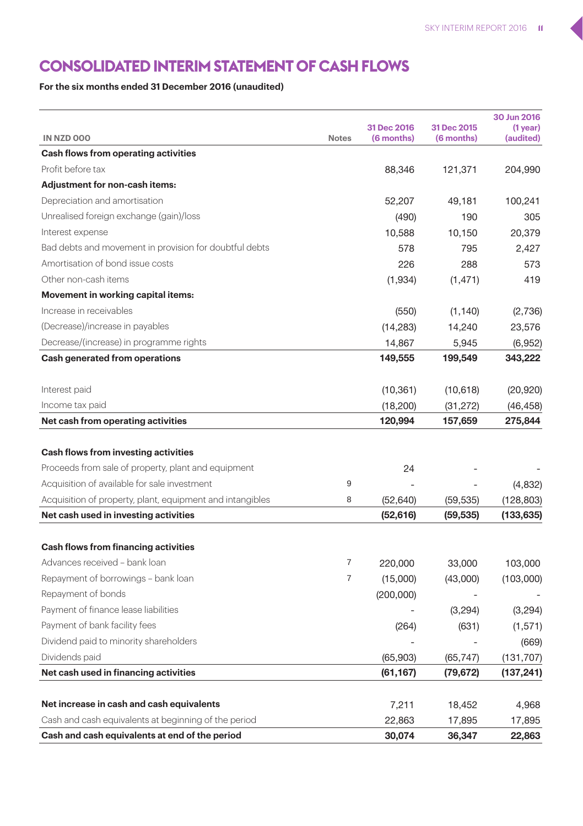# **CONSOLIDATED INTERIM STATEMENT OF CASH FLOWS**

### **For the six months ended 31 December 2016 (unaudited)**

|                                                           |              | 31 Dec 2016 | 31 Dec 2015 | 30 Jun 2016             |
|-----------------------------------------------------------|--------------|-------------|-------------|-------------------------|
| IN NZD 000                                                | <b>Notes</b> | (6 months)  | (6 months)  | $(1$ year)<br>(audited) |
| Cash flows from operating activities                      |              |             |             |                         |
| Profit before tax                                         |              | 88,346      | 121,371     | 204,990                 |
| Adjustment for non-cash items:                            |              |             |             |                         |
| Depreciation and amortisation                             |              | 52,207      | 49,181      | 100,241                 |
| Unrealised foreign exchange (gain)/loss                   |              | (490)       | 190         | 305                     |
| Interest expense                                          |              | 10,588      | 10,150      | 20,379                  |
| Bad debts and movement in provision for doubtful debts    |              | 578         | 795         | 2,427                   |
| Amortisation of bond issue costs                          |              | 226         | 288         | 573                     |
| Other non-cash items                                      |              | (1,934)     | (1, 471)    | 419                     |
| Movement in working capital items:                        |              |             |             |                         |
| Increase in receivables                                   |              | (550)       | (1, 140)    | (2,736)                 |
| (Decrease)/increase in payables                           |              | (14, 283)   | 14,240      | 23,576                  |
| Decrease/(increase) in programme rights                   |              | 14,867      | 5,945       | (6,952)                 |
| Cash generated from operations                            |              | 149,555     | 199,549     | 343,222                 |
|                                                           |              |             |             |                         |
| Interest paid                                             |              | (10, 361)   | (10,618)    | (20, 920)               |
| Income tax paid                                           |              | (18, 200)   | (31, 272)   | (46, 458)               |
| Net cash from operating activities                        |              | 120,994     | 157,659     | 275,844                 |
|                                                           |              |             |             |                         |
| Cash flows from investing activities                      |              |             |             |                         |
| Proceeds from sale of property, plant and equipment       |              | 24          |             |                         |
| Acquisition of available for sale investment              | 9            | ä,          |             | (4,832)                 |
| Acquisition of property, plant, equipment and intangibles | 8            | (52, 640)   | (59, 535)   | (128, 803)              |
| Net cash used in investing activities                     |              | (52,616)    | (59, 535)   | (133, 635)              |
|                                                           |              |             |             |                         |
| Cash flows from financing activities                      |              |             |             |                         |
| Advances received - bank loan                             | 7            | 220,000     | 33,000      | 103,000                 |
| Repayment of borrowings - bank loan                       | 7            | (15,000)    | (43,000)    | (103,000)               |
| Repayment of bonds                                        |              | (200,000)   |             |                         |
| Payment of finance lease liabilities                      |              |             | (3,294)     | (3, 294)                |
| Payment of bank facility fees                             |              | (264)       | (631)       | (1,571)                 |
| Dividend paid to minority shareholders                    |              |             |             | (669)                   |
| Dividends paid                                            |              | (65,903)    | (65, 747)   | (131, 707)              |
| Net cash used in financing activities                     |              | (61,167)    | (79, 672)   | (137,241)               |
|                                                           |              |             |             |                         |
| Net increase in cash and cash equivalents                 |              | 7,211       | 18,452      | 4,968                   |
| Cash and cash equivalents at beginning of the period      |              | 22,863      | 17,895      | 17,895                  |
| Cash and cash equivalents at end of the period            |              | 30.074      | 36,347      | 22,863                  |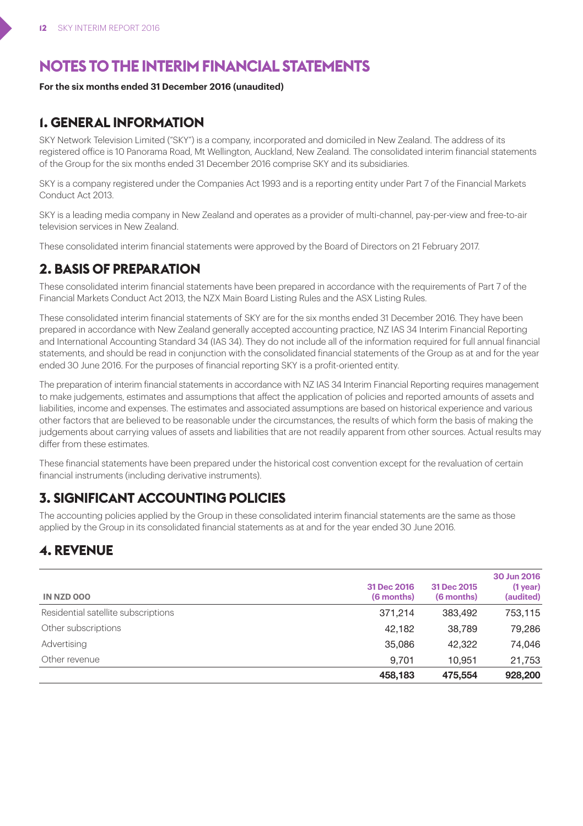# **NOTES TO THE INTERIM FINANCIAL STATEMENTS**

### **For the six months ended 31 December 2016 (unaudited)**

### **1. GENERAL INFORMATION**

SKY Network Television Limited ("SKY") is a company, incorporated and domiciled in New Zealand. The address of its registered office is 10 Panorama Road, Mt Wellington, Auckland, New Zealand. The consolidated interim financial statements of the Group for the six months ended 31 December 2016 comprise SKY and its subsidiaries.

SKY is a company registered under the Companies Act 1993 and is a reporting entity under Part 7 of the Financial Markets Conduct Act 2013.

SKY is a leading media company in New Zealand and operates as a provider of multi-channel, pay-per-view and free-to-air television services in New Zealand.

These consolidated interim financial statements were approved by the Board of Directors on 21 February 2017.

### **2. BASIS OF PREPARATION**

These consolidated interim financial statements have been prepared in accordance with the requirements of Part 7 of the Financial Markets Conduct Act 2013, the NZX Main Board Listing Rules and the ASX Listing Rules.

These consolidated interim financial statements of SKY are for the six months ended 31 December 2016. They have been prepared in accordance with New Zealand generally accepted accounting practice, NZ IAS 34 Interim Financial Reporting and International Accounting Standard 34 (IAS 34). They do not include all of the information required for full annual financial statements, and should be read in conjunction with the consolidated financial statements of the Group as at and for the year ended 30 June 2016. For the purposes of financial reporting SKY is a profit-oriented entity.

The preparation of interim financial statements in accordance with NZ IAS 34 Interim Financial Reporting requires management to make judgements, estimates and assumptions that affect the application of policies and reported amounts of assets and liabilities, income and expenses. The estimates and associated assumptions are based on historical experience and various other factors that are believed to be reasonable under the circumstances, the results of which form the basis of making the judgements about carrying values of assets and liabilities that are not readily apparent from other sources. Actual results may differ from these estimates.

These financial statements have been prepared under the historical cost convention except for the revaluation of certain financial instruments (including derivative instruments).

### **3. SIGNIFICANT ACCOUNTING POLICIES**

The accounting policies applied by the Group in these consolidated interim financial statements are the same as those applied by the Group in its consolidated financial statements as at and for the year ended 30 June 2016.

### **4. REVENUE**

| IN NZD 000                          | 31 Dec 2016<br>(6 months) | 31 Dec 2015<br>(6 months) | 30 Jun 2016<br>$(1$ year)<br>(audited) |
|-------------------------------------|---------------------------|---------------------------|----------------------------------------|
| Residential satellite subscriptions | 371.214                   | 383.492                   | 753,115                                |
| Other subscriptions                 | 42.182                    | 38.789                    | 79.286                                 |
| Advertising                         | 35.086                    | 42.322                    | 74,046                                 |
| Other revenue                       | 9.701                     | 10.951                    | 21,753                                 |
|                                     | 458.183                   | 475.554                   | 928,200                                |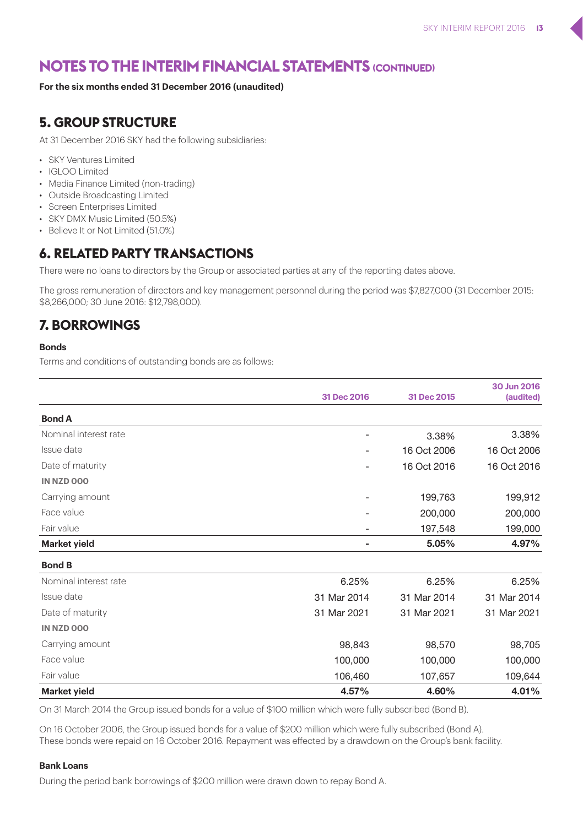### **For the six months ended 31 December 2016 (unaudited)**

### **5. GROUP STRUCTURE**

At 31 December 2016 SKY had the following subsidiaries:

- SKY Ventures Limited
- IGLOO Limited
- Media Finance Limited (non-trading)
- Outside Broadcasting Limited
- Screen Enterprises Limited
- SKY DMX Music Limited (50.5%)
- Believe It or Not Limited (51.0%)

### **6. RELATED PARTY TRANSACTIONS**

There were no loans to directors by the Group or associated parties at any of the reporting dates above.

The gross remuneration of directors and key management personnel during the period was \$7,827,000 (31 December 2015: \$8,266,000; 30 June 2016: \$12,798,000).

### **7. BORROWINGS**

#### **Bonds**

Terms and conditions of outstanding bonds are as follows:

|                       | 31 Dec 2016    | 31 Dec 2015 | 30 Jun 2016<br>(audited) |
|-----------------------|----------------|-------------|--------------------------|
|                       |                |             |                          |
| <b>Bond A</b>         |                |             |                          |
| Nominal interest rate |                | 3.38%       | 3.38%                    |
| Issue date            |                | 16 Oct 2006 | 16 Oct 2006              |
| Date of maturity      | ٠              | 16 Oct 2016 | 16 Oct 2016              |
| IN NZD 000            |                |             |                          |
| Carrying amount       |                | 199,763     | 199,912                  |
| Face value            |                | 200,000     | 200,000                  |
| Fair value            |                | 197,548     | 199,000                  |
| <b>Market yield</b>   | $\blacksquare$ | 5.05%       | 4.97%                    |
| <b>Bond B</b>         |                |             |                          |
| Nominal interest rate | 6.25%          | 6.25%       | 6.25%                    |
| Issue date            | 31 Mar 2014    | 31 Mar 2014 | 31 Mar 2014              |
| Date of maturity      | 31 Mar 2021    | 31 Mar 2021 | 31 Mar 2021              |
| IN NZD 000            |                |             |                          |
| Carrying amount       | 98,843         | 98,570      | 98,705                   |
| Face value            | 100,000        | 100,000     | 100,000                  |
| Fair value            | 106,460        | 107,657     | 109,644                  |
| <b>Market yield</b>   | 4.57%          | 4.60%       | 4.01%                    |

On 31 March 2014 the Group issued bonds for a value of \$100 million which were fully subscribed (Bond B).

On 16 October 2006, the Group issued bonds for a value of \$200 million which were fully subscribed (Bond A). These bonds were repaid on 16 October 2016. Repayment was effected by a drawdown on the Group's bank facility.

#### **Bank Loans**

During the period bank borrowings of \$200 million were drawn down to repay Bond A.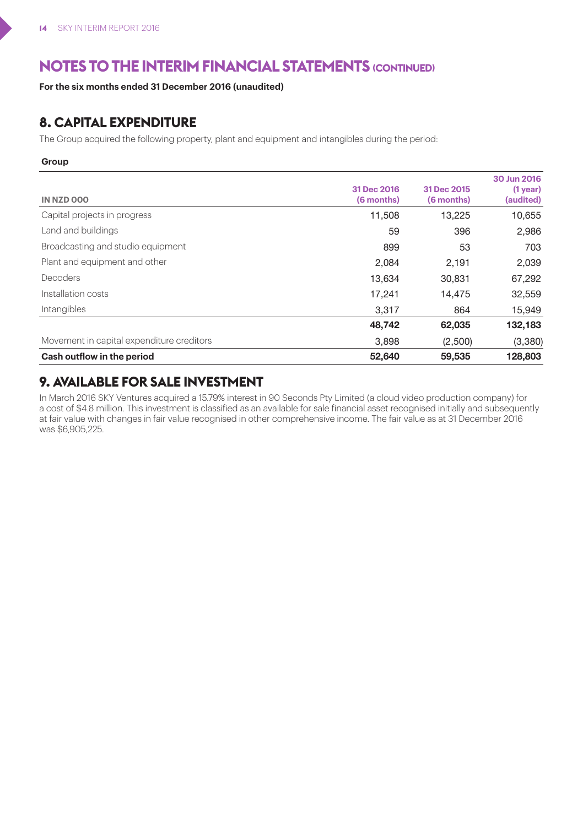**For the six months ended 31 December 2016 (unaudited)**

### **8. CAPITAL EXPENDITURE**

The Group acquired the following property, plant and equipment and intangibles during the period:

#### **Group**

| IN NZD 000                                | 31 Dec 2016<br>(6 months) | 31 Dec 2015<br>(6 months) | 30 Jun 2016<br>$(1$ year)<br>(audited) |
|-------------------------------------------|---------------------------|---------------------------|----------------------------------------|
| Capital projects in progress              | 11,508                    | 13,225                    | 10,655                                 |
| Land and buildings                        | 59                        | 396                       | 2,986                                  |
| Broadcasting and studio equipment         | 899                       | 53                        | 703                                    |
| Plant and equipment and other             | 2.084                     | 2,191                     | 2,039                                  |
| Decoders                                  | 13.634                    | 30.831                    | 67,292                                 |
| Installation costs                        | 17.241                    | 14.475                    | 32,559                                 |
| Intangibles                               | 3,317                     | 864                       | 15,949                                 |
|                                           | 48.742                    | 62,035                    | 132,183                                |
| Movement in capital expenditure creditors | 3,898                     | (2,500)                   | (3,380)                                |
| Cash outflow in the period                | 52,640                    | 59,535                    | 128,803                                |

### **9. AVAILABLE FOR SALE INVESTMENT**

In March 2016 SKY Ventures acquired a 15.79% interest in 90 Seconds Pty Limited (a cloud video production company) for a cost of \$4.8 million. This investment is classified as an available for sale financial asset recognised initially and subsequently at fair value with changes in fair value recognised in other comprehensive income. The fair value as at 31 December 2016 was \$6,905,225.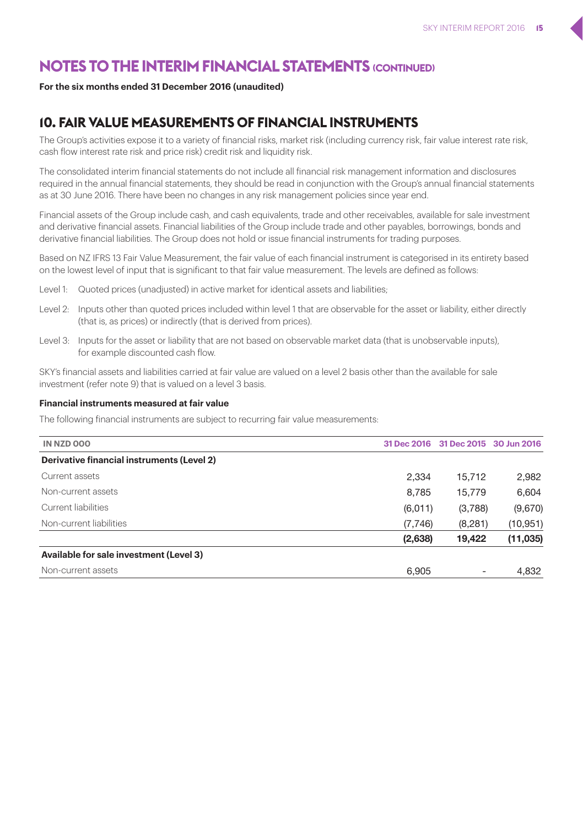#### **For the six months ended 31 December 2016 (unaudited)**

### **10. FAIR VALUE MEASUREMENTS OF FINANCIAL INSTRUMENTS**

The Group's activities expose it to a variety of financial risks, market risk (including currency risk, fair value interest rate risk, cash flow interest rate risk and price risk) credit risk and liquidity risk.

The consolidated interim financial statements do not include all financial risk management information and disclosures required in the annual financial statements, they should be read in conjunction with the Group's annual financial statements as at 30 June 2016. There have been no changes in any risk management policies since year end.

Financial assets of the Group include cash, and cash equivalents, trade and other receivables, available for sale investment and derivative financial assets. Financial liabilities of the Group include trade and other payables, borrowings, bonds and derivative financial liabilities. The Group does not hold or issue financial instruments for trading purposes.

Based on NZ IFRS 13 Fair Value Measurement, the fair value of each financial instrument is categorised in its entirety based on the lowest level of input that is significant to that fair value measurement. The levels are defined as follows:

- Level 1: Quoted prices (unadjusted) in active market for identical assets and liabilities;
- Level 2: Inputs other than quoted prices included within level 1 that are observable for the asset or liability, either directly (that is, as prices) or indirectly (that is derived from prices).
- Level 3: Inputs for the asset or liability that are not based on observable market data (that is unobservable inputs), for example discounted cash flow.

SKY's financial assets and liabilities carried at fair value are valued on a level 2 basis other than the available for sale investment (refer note 9) that is valued on a level 3 basis.

#### **Financial instruments measured at fair value**

The following financial instruments are subject to recurring fair value measurements:

| IN NZD 000                                 | 31 Dec 2016 | 31 Dec 2015 30 Jun 2016 |           |
|--------------------------------------------|-------------|-------------------------|-----------|
| Derivative financial instruments (Level 2) |             |                         |           |
| Current assets                             | 2,334       | 15.712                  | 2,982     |
| Non-current assets                         | 8,785       | 15.779                  | 6,604     |
| Current liabilities                        | (6,011)     | (3,788)                 | (9,670)   |
| Non-current liabilities                    | (7,746)     | (8,281)                 | (10, 951) |
|                                            | (2,638)     | 19,422                  | (11, 035) |
| Available for sale investment (Level 3)    |             |                         |           |
| Non-current assets                         | 6.905       |                         | 4.832     |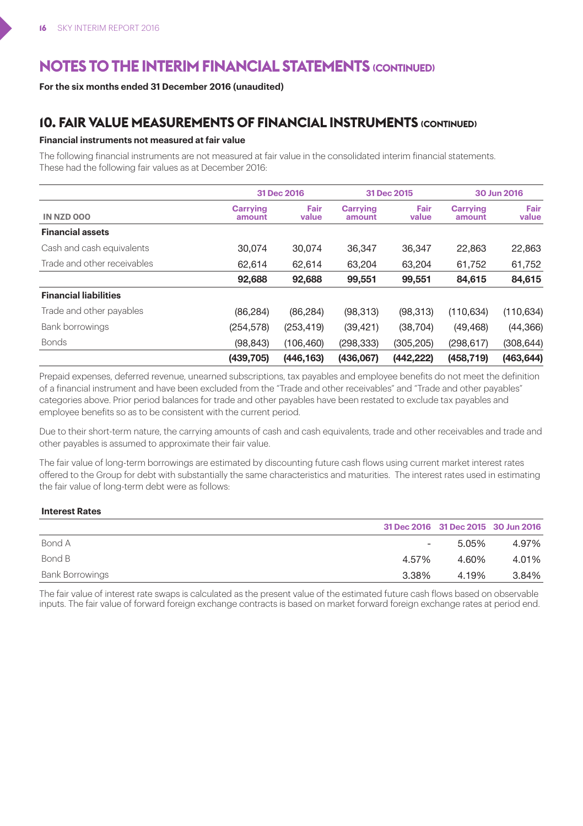**For the six months ended 31 December 2016 (unaudited)**

### **10. FAIR VALUE MEASUREMENTS OF FINANCIAL INSTRUMENTS (CONTINUED)**

#### **Financial instruments not measured at fair value**

The following financial instruments are not measured at fair value in the consolidated interim financial statements. These had the following fair values as at December 2016:

|                              |                    | 31 Dec 2016   | 31 Dec 2015        |               |                    | 30 Jun 2016   |
|------------------------------|--------------------|---------------|--------------------|---------------|--------------------|---------------|
| IN NZD 000                   | Carrving<br>amount | Fair<br>value | Carrving<br>amount | Fair<br>value | Carrving<br>amount | Fair<br>value |
| <b>Financial assets</b>      |                    |               |                    |               |                    |               |
| Cash and cash equivalents    | 30.074             | 30.074        | 36.347             | 36.347        | 22.863             | 22,863        |
| Trade and other receivables  | 62.614             | 62.614        | 63,204             | 63.204        | 61.752             | 61,752        |
|                              | 92,688             | 92.688        | 99.551             | 99.551        | 84.615             | 84,615        |
| <b>Financial liabilities</b> |                    |               |                    |               |                    |               |
| Trade and other payables     | (86, 284)          | (86, 284)     | (98, 313)          | (98, 313)     | (110, 634)         | (110, 634)    |
| Bank borrowings              | (254, 578)         | (253, 419)    | (39, 421)          | (38, 704)     | (49, 468)          | (44, 366)     |
| <b>Bonds</b>                 | (98, 843)          | (106, 460)    | (298, 333)         | (305, 205)    | (298, 617)         | (308, 644)    |
|                              | (439, 705)         | (446.163)     | (436.067)          | (442.222)     | (458.719)          | (463, 644)    |

Prepaid expenses, deferred revenue, unearned subscriptions, tax payables and employee benefits do not meet the definition of a financial instrument and have been excluded from the "Trade and other receivables" and "Trade and other payables" categories above. Prior period balances for trade and other payables have been restated to exclude tax payables and employee benefits so as to be consistent with the current period.

Due to their short-term nature, the carrying amounts of cash and cash equivalents, trade and other receivables and trade and other payables is assumed to approximate their fair value.

The fair value of long-term borrowings are estimated by discounting future cash flows using current market interest rates offered to the Group for debt with substantially the same characteristics and maturities. The interest rates used in estimating the fair value of long-term debt were as follows:

#### **Interest Rates**

|                 |                | 31 Dec 2016 31 Dec 2015 30 Jun 2016 |       |
|-----------------|----------------|-------------------------------------|-------|
| Bond A          | $\sim$ 10 $\,$ | 5.05%                               | 4.97% |
| Bond B          | 4.57%          | 4.60%                               | 4.01% |
| Bank Borrowings | 3.38%          | 4.19%                               | 3.84% |

The fair value of interest rate swaps is calculated as the present value of the estimated future cash flows based on observable inputs. The fair value of forward foreign exchange contracts is based on market forward foreign exchange rates at period end.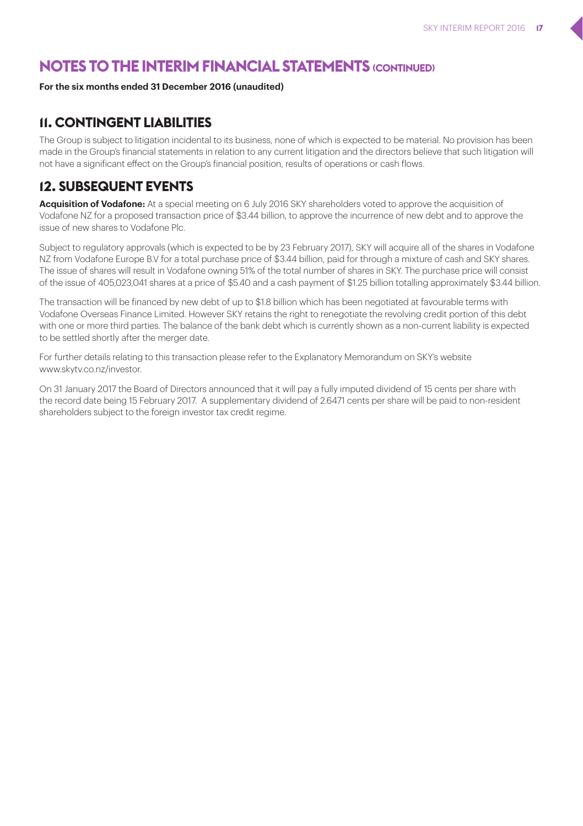### **For the six months ended 31 December 2016 (unaudited)**

### **11. CONTINGENT LIABILITIES**

The Group is subject to litigation incidental to its business, none of which is expected to be material. No provision has been made in the Group's financial statements in relation to any current litigation and the directors believe that such litigation will not have a significant effect on the Group's financial position, results of operations or cash flows.

### **12. SUBSEQUENT EVENTS**

**Acquisition of Vodafone:** At a special meeting on 6 July 2016 SKY shareholders voted to approve the acquisition of Vodafone NZ for a proposed transaction price of \$3.44 billion, to approve the incurrence of new debt and to approve the issue of new shares to Vodafone Plc.

Subject to regulatory approvals (which is expected to be by 23 February 2017), SKY will acquire all of the shares in Vodafone NZ from Vodafone Europe B.V for a total purchase price of \$3.44 billion, paid for through a mixture of cash and SKY shares. The issue of shares will result in Vodafone owning 51% of the total number of shares in SKY. The purchase price will consist of the issue of 405,023,041 shares at a price of \$5.40 and a cash payment of \$1.25 billion totalling approximately \$3.44 billion.

The transaction will be financed by new debt of up to \$1.8 billion which has been negotiated at favourable terms with Vodafone Overseas Finance Limited. However SKY retains the right to renegotiate the revolving credit portion of this debt with one or more third parties. The balance of the bank debt which is currently shown as a non-current liability is expected to be settled shortly after the merger date.

For further details relating to this transaction please refer to the Explanatory Memorandum on SKY's website www.skytv.co.nz/investor.

On 31 January 2017 the Board of Directors announced that it will pay a fully imputed dividend of 15 cents per share with the record date being 15 February 2017. A supplementary dividend of 2.6471 cents per share will be paid to non-resident shareholders subject to the foreign investor tax credit regime.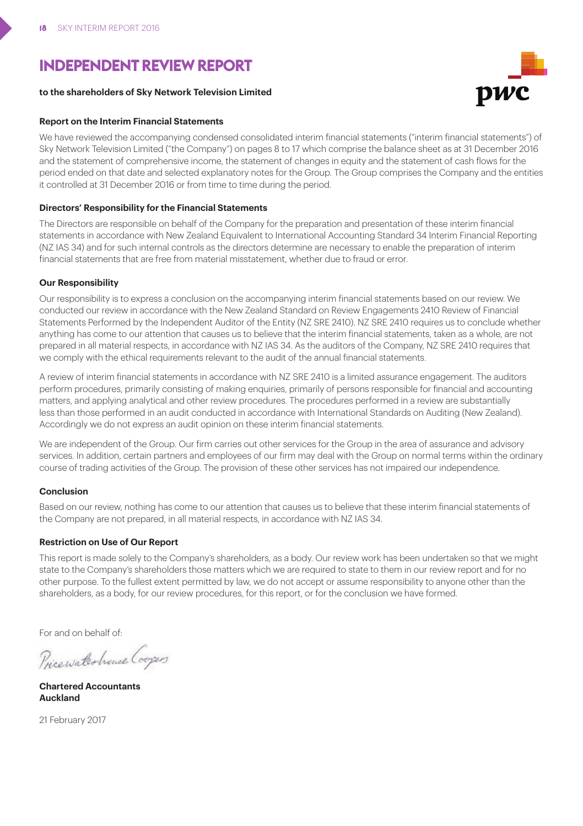# **INDEPENDENT REVIEW REPORT**

#### **to the shareholders of Sky Network Television Limited**

#### **Report on the Interim Financial Statements**

We have reviewed the accompanying condensed consolidated interim financial statements ("interim financial statements") of Sky Network Television Limited ("the Company") on pages 8 to 17 which comprise the balance sheet as at 31 December 2016 and the statement of comprehensive income, the statement of changes in equity and the statement of cash flows for the period ended on that date and selected explanatory notes for the Group. The Group comprises the Company and the entities it controlled at 31 December 2016 or from time to time during the period.

#### **Directors' Responsibility for the Financial Statements**

The Directors are responsible on behalf of the Company for the preparation and presentation of these interim financial statements in accordance with New Zealand Equivalent to International Accounting Standard 34 Interim Financial Reporting (NZ IAS 34) and for such internal controls as the directors determine are necessary to enable the preparation of interim financial statements that are free from material misstatement, whether due to fraud or error.

#### **Our Responsibility**

Our responsibility is to express a conclusion on the accompanying interim financial statements based on our review. We conducted our review in accordance with the New Zealand Standard on Review Engagements 2410 Review of Financial Statements Performed by the Independent Auditor of the Entity (NZ SRE 2410). NZ SRE 2410 requires us to conclude whether anything has come to our attention that causes us to believe that the interim financial statements, taken as a whole, are not prepared in all material respects, in accordance with NZ IAS 34. As the auditors of the Company, NZ SRE 2410 requires that we comply with the ethical requirements relevant to the audit of the annual financial statements.

A review of interim financial statements in accordance with NZ SRE 2410 is a limited assurance engagement. The auditors perform procedures, primarily consisting of making enquiries, primarily of persons responsible for financial and accounting matters, and applying analytical and other review procedures. The procedures performed in a review are substantially less than those performed in an audit conducted in accordance with International Standards on Auditing (New Zealand). Accordingly we do not express an audit opinion on these interim financial statements.

We are independent of the Group. Our firm carries out other services for the Group in the area of assurance and advisory services. In addition, certain partners and employees of our firm may deal with the Group on normal terms within the ordinary course of trading activities of the Group. The provision of these other services has not impaired our independence.

#### **Conclusion**

Based on our review, nothing has come to our attention that causes us to believe that these interim financial statements of the Company are not prepared, in all material respects, in accordance with NZ IAS 34.

#### **Restriction on Use of Our Report**

This report is made solely to the Company's shareholders, as a body. Our review work has been undertaken so that we might state to the Company's shareholders those matters which we are required to state to them in our review report and for no other purpose. To the fullest extent permitted by law, we do not accept or assume responsibility to anyone other than the shareholders, as a body, for our review procedures, for this report, or for the conclusion we have formed.

For and on behalf of:

Pricewaterhouse Coopers

**Chartered Accountants Auckland**

21 February 2017

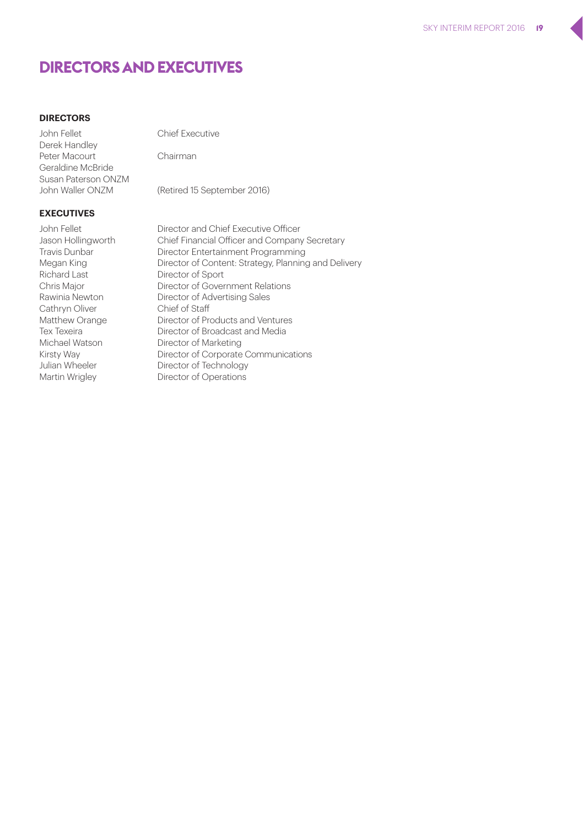### **DIRECTORS AND EXECUTIVES**

### **DIRECTORS**

John Fellet Chief Executive Derek Handley Peter Macourt Chairman Geraldine McBride Susan Paterson ONZM<br>John Waller ONZM

(Retired 15 September 2016)

#### **EXECUTIVES**

Richard Last Director of Sport Cathryn Oliver Chief of Staff

John Fellet Director and Chief Executive Officer Jason Hollingworth Chief Financial Officer and Company Secretary Travis Dunbar Director Entertainment Programming Megan King Director of Content: Strategy, Planning and Delivery Chris Major Director of Government Relations Rawinia Newton Director of Advertising Sales Matthew Orange Director of Products and Ventures Tex Texeira Director of Broadcast and Media Michael Watson Director of Marketing Kirsty Way Director of Corporate Communications Julian Wheeler Director of Technology Martin Wrigley Director of Operations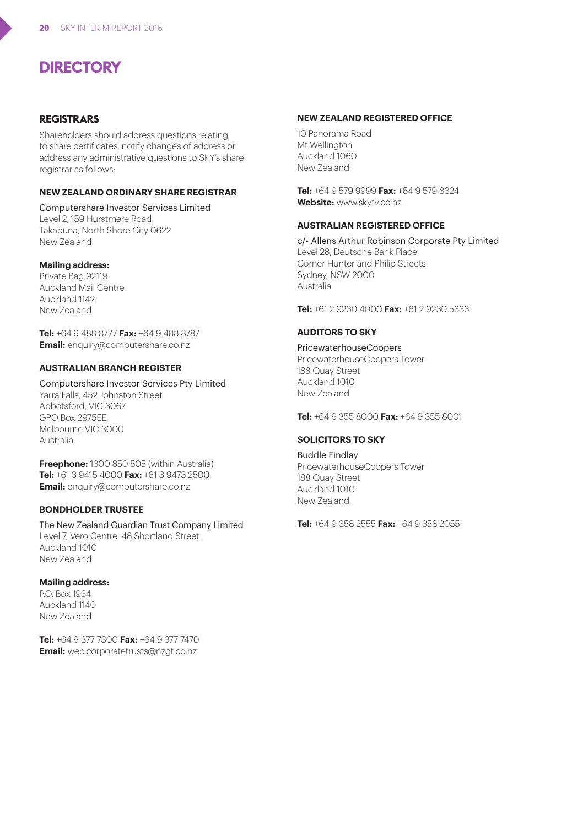# **DIRECTORY**

### **REGISTRARS**

Shareholders should address questions relating to share certificates, notify changes of address or address any administrative questions to SKY's share registrar as follows:

#### **NEW ZEALAND ORDINARY SHARE REGISTRAR**

Computershare Investor Services Limited Level 2, 159 Hurstmere Road Takapuna, North Shore City 0622 New Zealand

#### **Mailing address:**

Private Bag 92119 Auckland Mail Centre Auckland 1142 New Zealand

**Tel:** +64 9 488 8777 **Fax:** +64 9 488 8787 **Email:** enquiry@computershare.co.nz

#### **AUSTRALIAN BRANCH REGISTER**

Computershare Investor Services Pty Limited Yarra Falls, 452 Johnston Street Abbotsford, VIC 3067 GPO Box 2975EE Melbourne VIC 3000 Australia

**Freephone:** 1300 850 505 (within Australia) **Tel:** +61 3 9415 4000 **Fax:** +61 3 9473 2500 **Email:** enquiry@computershare.co.nz

#### **BONDHOLDER TRUSTEE**

The New Zealand Guardian Trust Company Limited Level 7, Vero Centre, 48 Shortland Street Auckland 1010 New Zealand

#### **Mailing address:**

P.O. Box 1934 Auckland 1140 New Zealand

**Tel:** +64 9 377 7300 **Fax:** +64 9 377 7470 **Email:** web.corporatetrusts@nzgt.co.nz

#### **NEW ZEALAND REGISTERED OFFICE**

10 Panorama Road Mt Wellington Auckland 1060 New Zealand

**Tel:** +64 9 579 9999 **Fax:** +64 9 579 8324 **Website:** www.skytv.co.nz

#### **AUSTRALIAN REGISTERED OFFICE**

c/- Allens Arthur Robinson Corporate Pty Limited Level 28, Deutsche Bank Place Corner Hunter and Philip Streets Sydney, NSW 2000 Australia

**Tel:** +61 2 9230 4000 **Fax:** +61 2 9230 5333

#### **AUDITORS TO SKY**

PricewaterhouseCoopers PricewaterhouseCoopers Tower 188 Quay Street Auckland 1010 New Zealand

**Tel:** +64 9 355 8000 **Fax:** +64 9 355 8001

#### **SOLICITORS TO SKY**

Buddle Findlay PricewaterhouseCoopers Tower 188 Quay Street Auckland 1010 New Zealand

**Tel:** +64 9 358 2555 **Fax:** +64 9 358 2055